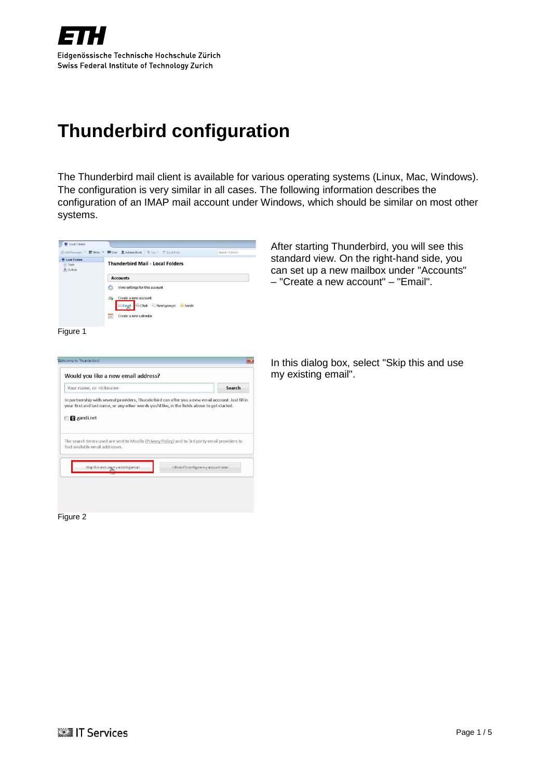

<span id="page-0-0"></span>The Thunderbird mail client is available for various operating systems (Linux, Mac, Windows). The configuration is very similar in all cases. The following information describes the configuration of an IMAP mail account under Windows, which should be similar on most other systems.



After starting Thunderbird, you will see this standard view. On the right-hand side, you can set up a new mailbox under "Accounts" – "Create a new account" – "Email".

#### Figure 1



Figure 2

In this dialog box, select "Skip this and use my existing email".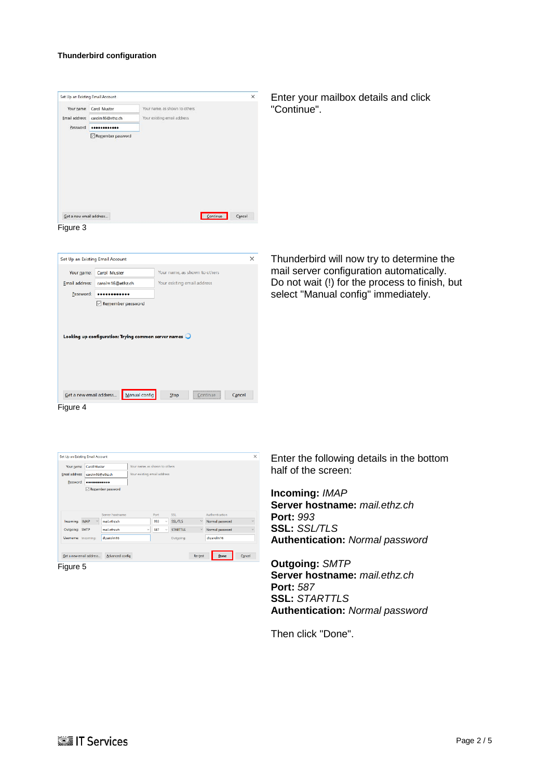| Your name, as shown to others<br>Carol Muster<br>Your existing email address<br>carolm16@ethz.ch<br><br>Remember password<br>Get a new email address | Continue | Cancel                                                       | Enter your mailbox details and click<br>"Continue".                                   |
|------------------------------------------------------------------------------------------------------------------------------------------------------|----------|--------------------------------------------------------------|---------------------------------------------------------------------------------------|
|                                                                                                                                                      |          |                                                              |                                                                                       |
|                                                                                                                                                      |          |                                                              |                                                                                       |
|                                                                                                                                                      |          |                                                              |                                                                                       |
|                                                                                                                                                      |          |                                                              |                                                                                       |
| Set Up an Existing Email Account<br>Carol Muster                                                                                                     |          | $\times$                                                     | Thunderbird will now try to determine the<br>mail server configuration automatically. |
| carolm16@ethz.ch                                                                                                                                     |          |                                                              | Do not wait (!) for the process to finish, but                                        |
|                                                                                                                                                      |          |                                                              | select "Manual config" immediately.                                                   |
| Remember password                                                                                                                                    |          |                                                              |                                                                                       |
| Looking up configuration: Trying common server names                                                                                                 |          |                                                              |                                                                                       |
|                                                                                                                                                      |          | Your name, as shown to others<br>Your existing email address |                                                                                       |

Figure 4

| Your name:                                         | Carol Muster          |                   | Your name, as shown to others |      |        |                 |              |                 |                        |
|----------------------------------------------------|-----------------------|-------------------|-------------------------------|------|--------|-----------------|--------------|-----------------|------------------------|
| Email address:                                     | carolm16@ethz.ch      |                   | Your existing email address   |      |        |                 |              |                 |                        |
| Password:                                          |                       |                   |                               |      |        |                 |              |                 |                        |
|                                                    |                       | Remember password |                               |      |        |                 |              |                 |                        |
|                                                    |                       |                   |                               |      |        |                 |              |                 |                        |
|                                                    |                       |                   |                               |      |        |                 |              |                 |                        |
|                                                    |                       |                   |                               |      |        |                 |              |                 |                        |
|                                                    |                       |                   |                               |      |        |                 |              |                 |                        |
|                                                    |                       | Server hostname   |                               | Port |        | SSL             |              | Authentication  |                        |
|                                                    | $\sim$<br><b>IMAP</b> | mail.ethz.ch      |                               | 993  | $\sim$ | <b>SSL/TLS</b>  | $\checkmark$ | Normal password |                        |
|                                                    |                       | mail ethz ch      | $\vee$                        | 587  | $\sim$ | <b>STARTTIS</b> | $\checkmark$ | Normal password |                        |
| Incoming:<br>Outgoing: SMTP<br>Username: Incoming: |                       | d\carolm16        |                               |      |        | Outgoing:       |              | d\carolm16      | $\sim$<br>$\checkmark$ |

Get a new email address... Manual config Stop Continue Cancel

Figure 5

Enter the following details in the bottom half of the screen:

**Incoming:** *IMAP* **Server hostname:** *mail.ethz.ch*  **Port:** *993* **SSL:** *SSL/TLS* **Authentication:** *Normal password*

**Outgoing:** *SMTP* **Server hostname:** *mail.ethz.ch* **Port:** *587* **SSL:** *STARTTLS* **Authentication:** *Normal password*

Then click "Done".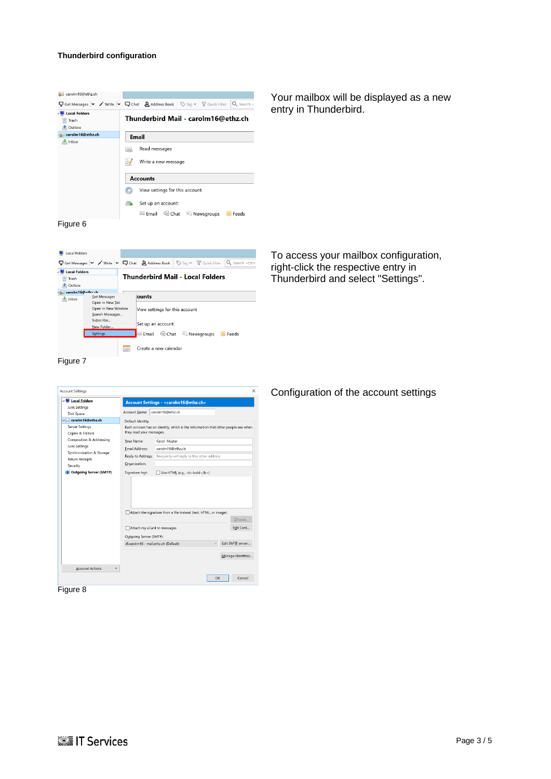| as carolm16@ethz.ch                                                                                                                                   |                                     |                                |  |  |                |  |
|-------------------------------------------------------------------------------------------------------------------------------------------------------|-------------------------------------|--------------------------------|--|--|----------------|--|
| $\nabla$ Get Messages $\vee$ / Write $\vee$ $\nabla$ Chat $\bigotimes$ Address Book $\bigotimes$ Tag $\vee$ $\nabla$ Quick Filter $\bigcirc$ Search < |                                     |                                |  |  |                |  |
| Local Folders                                                                                                                                         |                                     |                                |  |  |                |  |
| <b>In</b> Trash                                                                                                                                       | Thunderbird Mail - carolm16@ethz.ch |                                |  |  |                |  |
| <b>Outbox</b>                                                                                                                                         |                                     |                                |  |  |                |  |
| carolm16@ethz.ch                                                                                                                                      | <b>Email</b>                        |                                |  |  |                |  |
| $\blacksquare$ Inbox                                                                                                                                  |                                     |                                |  |  |                |  |
|                                                                                                                                                       | Read messages<br>L.                 |                                |  |  |                |  |
|                                                                                                                                                       |                                     |                                |  |  |                |  |
|                                                                                                                                                       | Write a new message                 |                                |  |  |                |  |
|                                                                                                                                                       |                                     |                                |  |  |                |  |
|                                                                                                                                                       | <b>Accounts</b>                     |                                |  |  |                |  |
|                                                                                                                                                       |                                     | View settings for this account |  |  |                |  |
|                                                                                                                                                       |                                     |                                |  |  |                |  |
|                                                                                                                                                       | <b>Co</b>                           | Set up an account:             |  |  |                |  |
|                                                                                                                                                       |                                     | ⊠ Email 吗 Chat □ Newsgroups    |  |  | <b>M</b> Feeds |  |
| Figure 6                                                                                                                                              |                                     |                                |  |  |                |  |

Your mailbox will be displayed as a new entry in Thunderbird.

**N** Local Folders  $\sim 100$ To access your mailbox configuration, Get Messages | v / Write | v Q Chat 2 Address Book | S Tag v T Quick Filter Q Search < Ctrlright-click the respective entry in All Local Folders **Thunderbird Mail - Local Folders**  $\frac{1}{2}$  Trash Thunderbird and select "Settings". **Outbox** sexted to the Counter of Counter to the Counter of Counter of Counter of Counter of Counter of Counter of Counter of Counter of Counter of Counter of Counter of Counter of Counter of Counter of Counter of Counter of Count ounts View settings for this account Subscribe... Set up an account: New Folder ■<br>■<mark>⊠ Email 吗 Chat © Newsgroups ■</mark> Feeds Settings Create a new calendar

Figure 7



Figure 8

Configuration of the account settings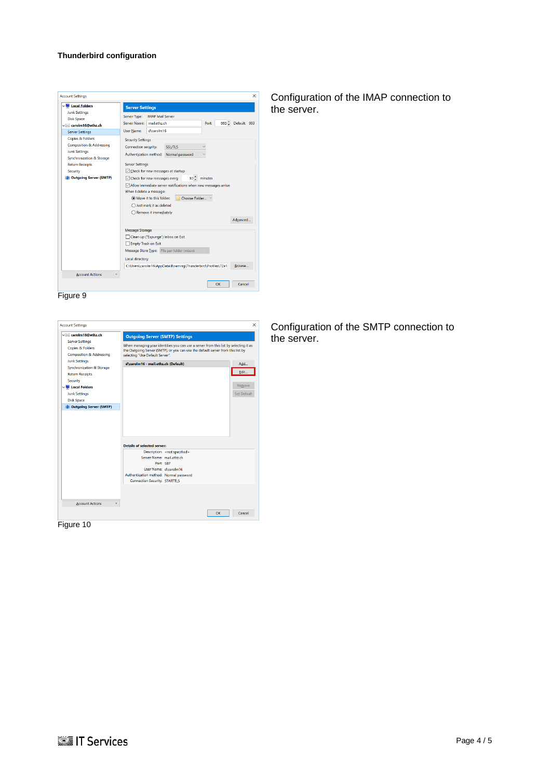| <b>M</b> Local Folders                    | <b>Server Settings</b>                                                                                                                                                                                                                                                               |  |  |  |  |  |  |
|-------------------------------------------|--------------------------------------------------------------------------------------------------------------------------------------------------------------------------------------------------------------------------------------------------------------------------------------|--|--|--|--|--|--|
| <b>Junk Settings</b><br><b>Disk Space</b> | <b>IMAP Mail Server</b><br>Server Type:                                                                                                                                                                                                                                              |  |  |  |  |  |  |
| v carolm16@ethz.ch                        | $993 -$<br>Default: 993<br>Server Name:<br>mail.ethz.ch<br>Port:                                                                                                                                                                                                                     |  |  |  |  |  |  |
| <b>Server Settings</b>                    | d\carolm16<br><b>User Name:</b>                                                                                                                                                                                                                                                      |  |  |  |  |  |  |
| Copies & Folders                          | <b>Security Settings</b>                                                                                                                                                                                                                                                             |  |  |  |  |  |  |
| <b>Composition &amp; Addressing</b>       | <b>SSL/TLS</b><br>Connection security:                                                                                                                                                                                                                                               |  |  |  |  |  |  |
| <b>Junk Settings</b>                      | Authentication method:<br>Normal password                                                                                                                                                                                                                                            |  |  |  |  |  |  |
| Synchronization & Storage                 |                                                                                                                                                                                                                                                                                      |  |  |  |  |  |  |
| <b>Return Receipts</b>                    | <b>Server Settings</b>                                                                                                                                                                                                                                                               |  |  |  |  |  |  |
| Security                                  | Check for new messages at startup                                                                                                                                                                                                                                                    |  |  |  |  |  |  |
| <b>Outgoing Server (SMTP)</b>             | $10 - \frac{2}{x}$ minutes<br>$\vee$ Check for new messages every<br>○ Allow immediate server notifications when new messages arrive<br>When I delete a message:<br>(a) Move it to this folder:<br>Choose Folder<br>◯ Just mark it as deleted<br>○ Remove it immediately<br>Advanced |  |  |  |  |  |  |
|                                           | Message Storage                                                                                                                                                                                                                                                                      |  |  |  |  |  |  |
|                                           | Clean up ("Expunge") Inbox on Exit                                                                                                                                                                                                                                                   |  |  |  |  |  |  |
|                                           | <b>Empty Trash on Exit</b>                                                                                                                                                                                                                                                           |  |  |  |  |  |  |
|                                           | Message Store Type: File per folder (mbox)                                                                                                                                                                                                                                           |  |  |  |  |  |  |
|                                           |                                                                                                                                                                                                                                                                                      |  |  |  |  |  |  |
|                                           | Local directory:                                                                                                                                                                                                                                                                     |  |  |  |  |  |  |
|                                           | C:\Users\carolm16\AppData\Roaming\Thunderbird\Profiles\72e1<br>Browse                                                                                                                                                                                                                |  |  |  |  |  |  |

Figure 9



Figure 10

Configuration of the IMAP connection to the server.

# Configuration of the SMTP connection to the server.